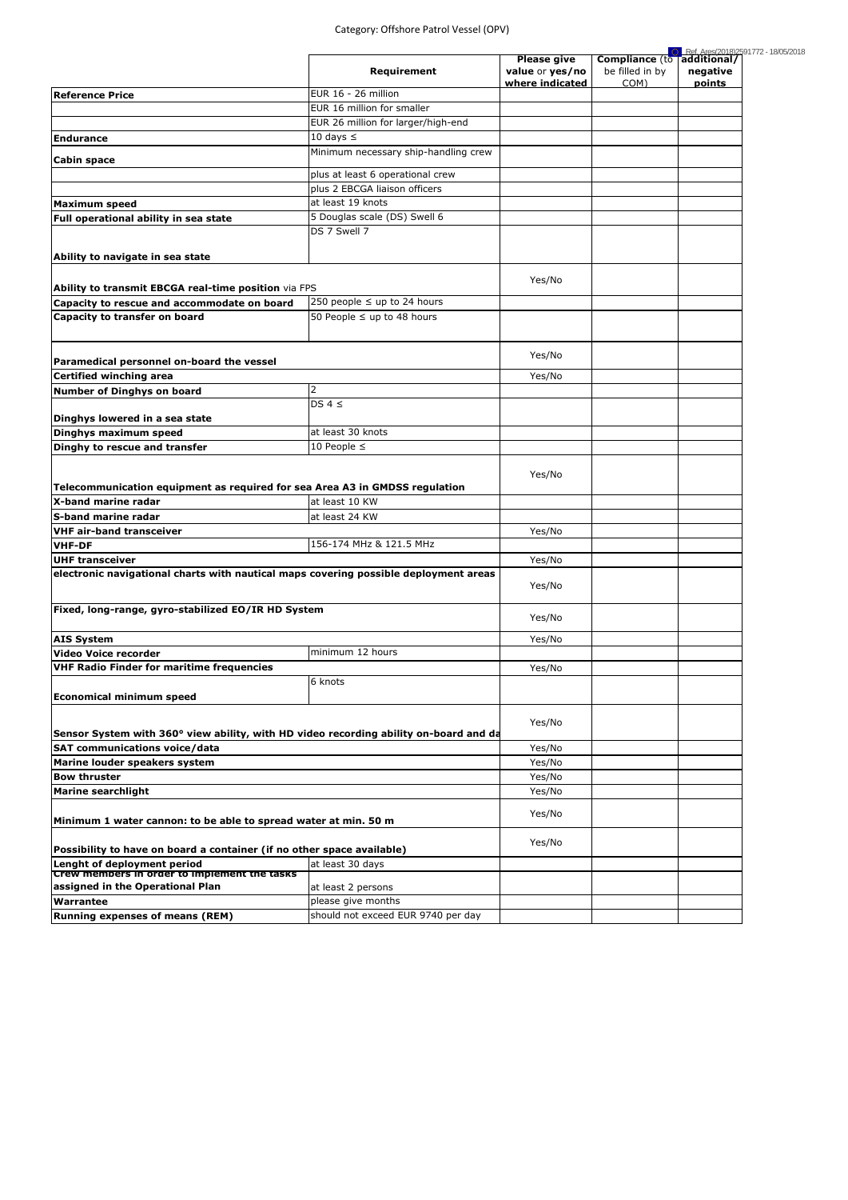|                                                                                       |                                      | <b>Please give</b>                 | <b>Compliance</b> (to   | Ref. Ares(2018)2591772 - 18/05/2018<br>additional/ |
|---------------------------------------------------------------------------------------|--------------------------------------|------------------------------------|-------------------------|----------------------------------------------------|
|                                                                                       | Requirement                          | value or yes/no<br>where indicated | be filled in by<br>COM) | negative<br>points                                 |
| <b>Reference Price</b>                                                                | EUR 16 - 26 million                  |                                    |                         |                                                    |
|                                                                                       | EUR 16 million for smaller           |                                    |                         |                                                    |
|                                                                                       | EUR 26 million for larger/high-end   |                                    |                         |                                                    |
| <b>Endurance</b>                                                                      | 10 days $\leq$                       |                                    |                         |                                                    |
| <b>Cabin space</b>                                                                    | Minimum necessary ship-handling crew |                                    |                         |                                                    |
|                                                                                       | plus at least 6 operational crew     |                                    |                         |                                                    |
|                                                                                       | plus 2 EBCGA liaison officers        |                                    |                         |                                                    |
| <b>Maximum speed</b>                                                                  | at least 19 knots                    |                                    |                         |                                                    |
| Full operational ability in sea state                                                 | 5 Douglas scale (DS) Swell 6         |                                    |                         |                                                    |
|                                                                                       | DS 7 Swell 7                         |                                    |                         |                                                    |
|                                                                                       |                                      |                                    |                         |                                                    |
| Ability to navigate in sea state                                                      |                                      |                                    |                         |                                                    |
|                                                                                       |                                      |                                    |                         |                                                    |
| Ability to transmit EBCGA real-time position via FPS                                  |                                      | Yes/No                             |                         |                                                    |
| Capacity to rescue and accommodate on board                                           | 250 people $\leq$ up to 24 hours     |                                    |                         |                                                    |
| Capacity to transfer on board                                                         | 50 People $\leq$ up to 48 hours      |                                    |                         |                                                    |
|                                                                                       |                                      |                                    |                         |                                                    |
| Paramedical personnel on-board the vessel                                             |                                      | Yes/No                             |                         |                                                    |
| <b>Certified winching area</b>                                                        |                                      | Yes/No                             |                         |                                                    |
| <b>Number of Dinghys on board</b>                                                     | $\overline{2}$                       |                                    |                         |                                                    |
|                                                                                       | DS $4 \leq$                          |                                    |                         |                                                    |
| Dinghys lowered in a sea state                                                        | at least 30 knots                    |                                    |                         |                                                    |
| Dinghys maximum speed                                                                 | 10 People $\leq$                     |                                    |                         |                                                    |
| Dinghy to rescue and transfer                                                         |                                      |                                    |                         |                                                    |
|                                                                                       |                                      | Yes/No                             |                         |                                                    |
| Telecommunication equipment as required for sea Area A3 in GMDSS regulation           |                                      |                                    |                         |                                                    |
| X-band marine radar                                                                   | at least 10 KW                       |                                    |                         |                                                    |
| <b>S-band marine radar</b>                                                            | at least 24 KW                       |                                    |                         |                                                    |
| <b>VHF air-band transceiver</b>                                                       |                                      | Yes/No                             |                         |                                                    |
| <b>VHF-DF</b>                                                                         | 156-174 MHz & 121.5 MHz              |                                    |                         |                                                    |
| <b>UHF transceiver</b>                                                                |                                      | Yes/No                             |                         |                                                    |
| electronic navigational charts with nautical maps covering possible deployment areas  |                                      |                                    |                         |                                                    |
|                                                                                       |                                      | Yes/No                             |                         |                                                    |
|                                                                                       |                                      |                                    |                         |                                                    |
| Fixed, long-range, gyro-stabilized EO/IR HD System                                    |                                      | Yes/No                             |                         |                                                    |
|                                                                                       |                                      |                                    |                         |                                                    |
| <b>AIS System</b>                                                                     |                                      | Yes/No                             |                         |                                                    |
| <b>Video Voice recorder</b>                                                           | minimum 12 hours                     |                                    |                         |                                                    |
| <b>VHF Radio Finder for maritime frequencies</b>                                      |                                      | Yes/No                             |                         |                                                    |
|                                                                                       | 6 knots                              |                                    |                         |                                                    |
| <b>Economical minimum speed</b>                                                       |                                      |                                    |                         |                                                    |
|                                                                                       |                                      |                                    |                         |                                                    |
| Sensor System with 360° view ability, with HD video recording ability on-board and da |                                      | Yes/No                             |                         |                                                    |
| <b>SAT communications voice/data</b>                                                  |                                      | Yes/No                             |                         |                                                    |
| Marine louder speakers system                                                         |                                      | Yes/No                             |                         |                                                    |
| <b>Bow thruster</b>                                                                   |                                      | Yes/No                             |                         |                                                    |
|                                                                                       |                                      | Yes/No                             |                         |                                                    |
| <b>Marine searchlight</b>                                                             |                                      |                                    |                         |                                                    |
| Minimum 1 water cannon: to be able to spread water at min. 50 m                       |                                      | Yes/No                             |                         |                                                    |
|                                                                                       |                                      |                                    |                         |                                                    |
| Possibility to have on board a container (if no other space available)                |                                      | Yes/No                             |                         |                                                    |
| Lenght of deployment period                                                           | at least 30 days                     |                                    |                         |                                                    |
| Crew members in order to implement the tasks                                          |                                      |                                    |                         |                                                    |
| assigned in the Operational Plan                                                      | at least 2 persons                   |                                    |                         |                                                    |
| <b>Warrantee</b>                                                                      | please give months                   |                                    |                         |                                                    |
| <b>Running expenses of means (REM)</b>                                                | should not exceed EUR 9740 per day   |                                    |                         |                                                    |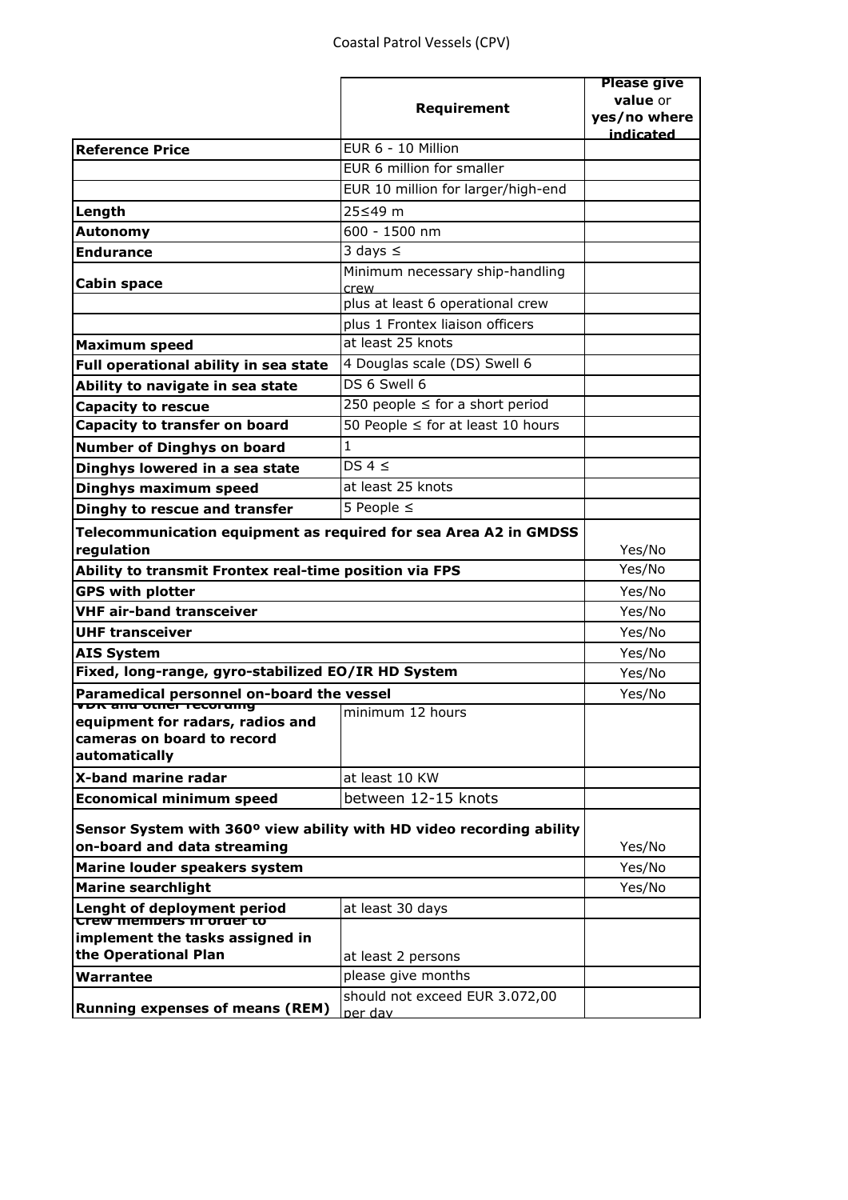|                                                                                                     |                                         | <b>Please give</b> |
|-----------------------------------------------------------------------------------------------------|-----------------------------------------|--------------------|
|                                                                                                     | Requirement                             | value or           |
|                                                                                                     |                                         | yes/no where       |
| <b>Reference Price</b>                                                                              | EUR 6 - 10 Million                      | indicated          |
|                                                                                                     | EUR 6 million for smaller               |                    |
|                                                                                                     | EUR 10 million for larger/high-end      |                    |
|                                                                                                     |                                         |                    |
| Length                                                                                              | 25≤49 m                                 |                    |
| Autonomy                                                                                            | 600 - 1500 nm                           |                    |
| <b>Endurance</b>                                                                                    | 3 days $\leq$                           |                    |
| <b>Cabin space</b>                                                                                  | Minimum necessary ship-handling<br>crew |                    |
|                                                                                                     | plus at least 6 operational crew        |                    |
|                                                                                                     | plus 1 Frontex liaison officers         |                    |
| Maximum speed                                                                                       | at least 25 knots                       |                    |
| Full operational ability in sea state                                                               | 4 Douglas scale (DS) Swell 6            |                    |
| Ability to navigate in sea state                                                                    | DS 6 Swell 6                            |                    |
| <b>Capacity to rescue</b>                                                                           | 250 people $\leq$ for a short period    |                    |
| Capacity to transfer on board                                                                       | 50 People $\leq$ for at least 10 hours  |                    |
| <b>Number of Dinghys on board</b>                                                                   | 1                                       |                    |
| Dinghys lowered in a sea state                                                                      | DS $4 \le$                              |                    |
| Dinghys maximum speed                                                                               | at least 25 knots                       |                    |
| Dinghy to rescue and transfer                                                                       | 5 People $\leq$                         |                    |
|                                                                                                     |                                         |                    |
| Telecommunication equipment as required for sea Area A2 in GMDSS<br>regulation                      |                                         | Yes/No             |
| Ability to transmit Frontex real-time position via FPS                                              |                                         | Yes/No             |
| <b>GPS with plotter</b>                                                                             |                                         | Yes/No             |
| <b>VHF air-band transceiver</b>                                                                     |                                         | Yes/No             |
| <b>UHF transceiver</b>                                                                              |                                         | Yes/No             |
| <b>AIS System</b>                                                                                   |                                         | Yes/No             |
| Fixed, long-range, gyro-stabilized EO/IR HD System                                                  |                                         | Yes/No             |
| Paramedical personnel on-board the vessel                                                           |                                         | Yes/No             |
| <u>vuk anu otner recorumy</u>                                                                       | minimum 12 hours                        |                    |
| equipment for radars, radios and<br>cameras on board to record                                      |                                         |                    |
| automatically                                                                                       |                                         |                    |
| X-band marine radar                                                                                 | at least 10 KW                          |                    |
| <b>Economical minimum speed</b>                                                                     | between 12-15 knots                     |                    |
|                                                                                                     |                                         |                    |
| Sensor System with 360° view ability with HD video recording ability<br>on-board and data streaming |                                         | Yes/No             |
| Marine louder speakers system                                                                       |                                         | Yes/No             |
| <b>Marine searchlight</b>                                                                           |                                         | Yes/No             |
| Lenght of deployment period                                                                         | at least 30 days                        |                    |
| <del>Crew mempers in orger to</del>                                                                 |                                         |                    |
| implement the tasks assigned in                                                                     |                                         |                    |
| the Operational Plan                                                                                | at least 2 persons                      |                    |
| Warrantee                                                                                           | please give months                      |                    |
| <b>Running expenses of means (REM)</b>                                                              | should not exceed EUR 3.072,00          |                    |
|                                                                                                     | per dav                                 |                    |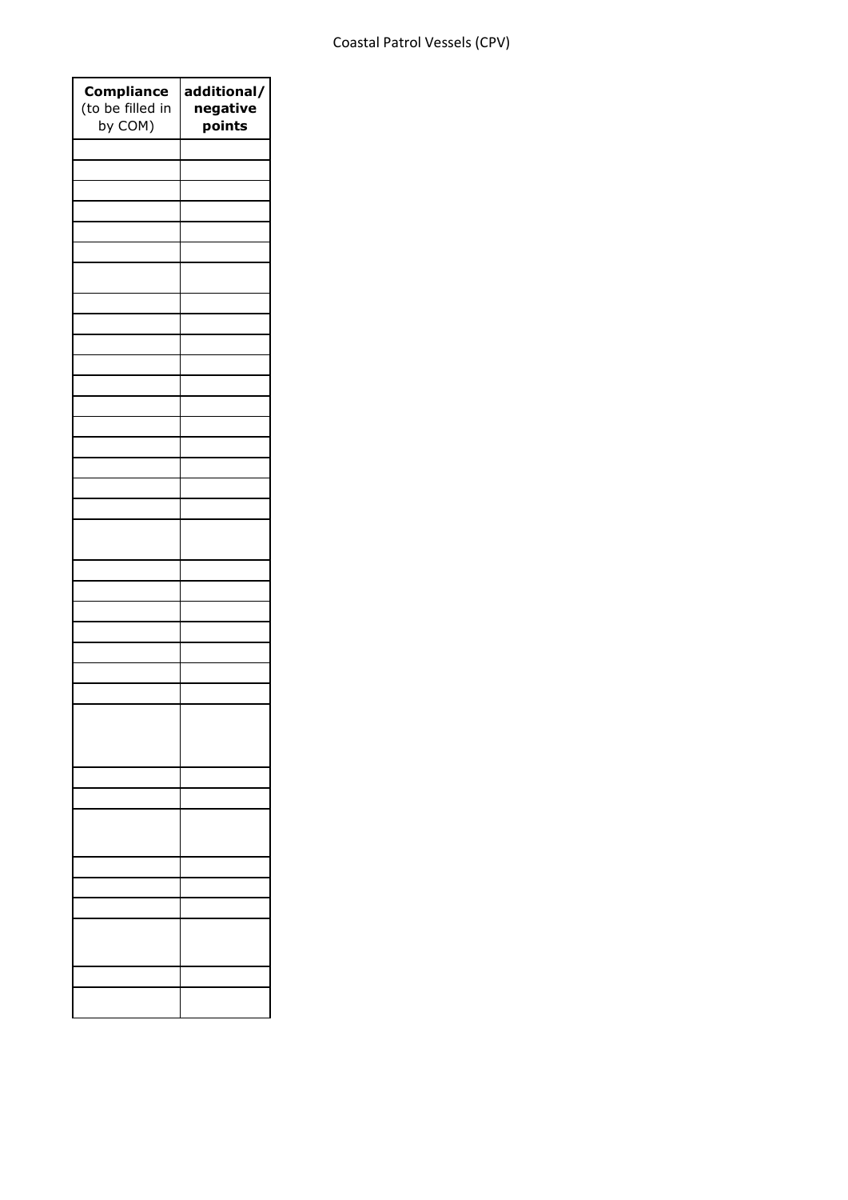| <b>Compliance</b><br>(to be filled in<br>by COM) | additional/<br>negative<br>points |
|--------------------------------------------------|-----------------------------------|
|                                                  |                                   |
|                                                  |                                   |
|                                                  |                                   |
|                                                  |                                   |
|                                                  |                                   |
|                                                  |                                   |
|                                                  |                                   |
|                                                  |                                   |
|                                                  |                                   |
|                                                  |                                   |
|                                                  |                                   |
|                                                  |                                   |
|                                                  |                                   |
|                                                  |                                   |
|                                                  |                                   |
|                                                  |                                   |
|                                                  |                                   |
|                                                  |                                   |
|                                                  |                                   |
|                                                  |                                   |
|                                                  |                                   |
|                                                  |                                   |
|                                                  |                                   |
|                                                  |                                   |
|                                                  |                                   |
|                                                  |                                   |
|                                                  |                                   |
|                                                  |                                   |
|                                                  |                                   |
|                                                  |                                   |
|                                                  |                                   |
|                                                  |                                   |
|                                                  |                                   |
|                                                  |                                   |
|                                                  |                                   |
|                                                  |                                   |
|                                                  |                                   |
|                                                  |                                   |
|                                                  |                                   |
|                                                  |                                   |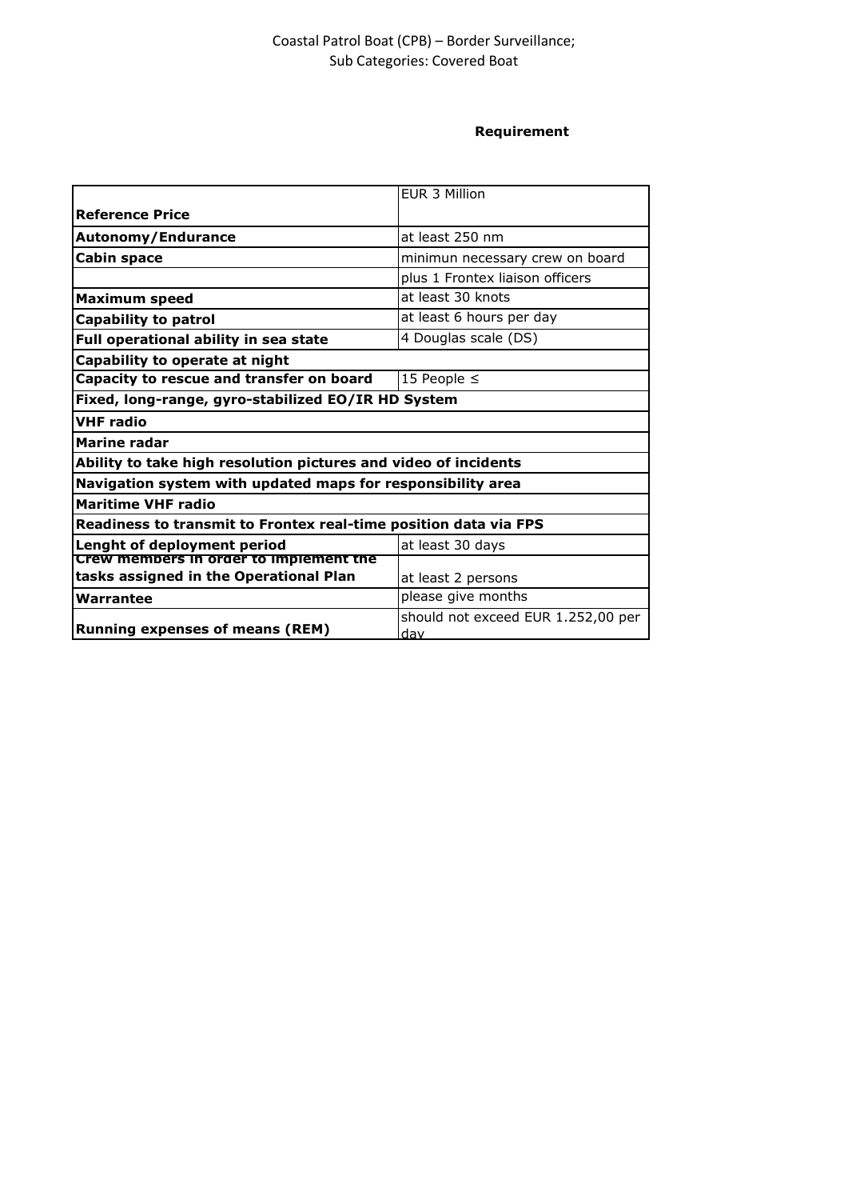# Coastal Patrol Boat (CPB) – Border Surveillance; Sub Categories: Covered Boat

## **Requirement**

|                                                                  | FUR 3 Million                      |  |  |
|------------------------------------------------------------------|------------------------------------|--|--|
| <b>Reference Price</b>                                           |                                    |  |  |
| at least 250 nm<br>Autonomy/Endurance                            |                                    |  |  |
| <b>Cabin space</b><br>minimun necessary crew on board            |                                    |  |  |
|                                                                  | plus 1 Frontex liaison officers    |  |  |
| at least 30 knots<br><b>Maximum speed</b>                        |                                    |  |  |
| at least 6 hours per day<br><b>Capability to patrol</b>          |                                    |  |  |
| 4 Douglas scale (DS)<br>Full operational ability in sea state    |                                    |  |  |
| Capability to operate at night                                   |                                    |  |  |
| Capacity to rescue and transfer on board<br>15 People $\leq$     |                                    |  |  |
| Fixed, long-range, gyro-stabilized EO/IR HD System               |                                    |  |  |
| <b>VHF radio</b>                                                 |                                    |  |  |
| <b>Marine radar</b>                                              |                                    |  |  |
| Ability to take high resolution pictures and video of incidents  |                                    |  |  |
| Navigation system with updated maps for responsibility area      |                                    |  |  |
| <b>Maritime VHF radio</b>                                        |                                    |  |  |
| Readiness to transmit to Frontex real-time position data via FPS |                                    |  |  |
| Lenght of deployment period<br>at least 30 days                  |                                    |  |  |
| Crew members in order to implement the                           |                                    |  |  |
| tasks assigned in the Operational Plan                           | at least 2 persons                 |  |  |
| Warrantee                                                        | please give months                 |  |  |
| <b>Running expenses of means (REM)</b>                           | should not exceed EUR 1.252,00 per |  |  |
|                                                                  | dav                                |  |  |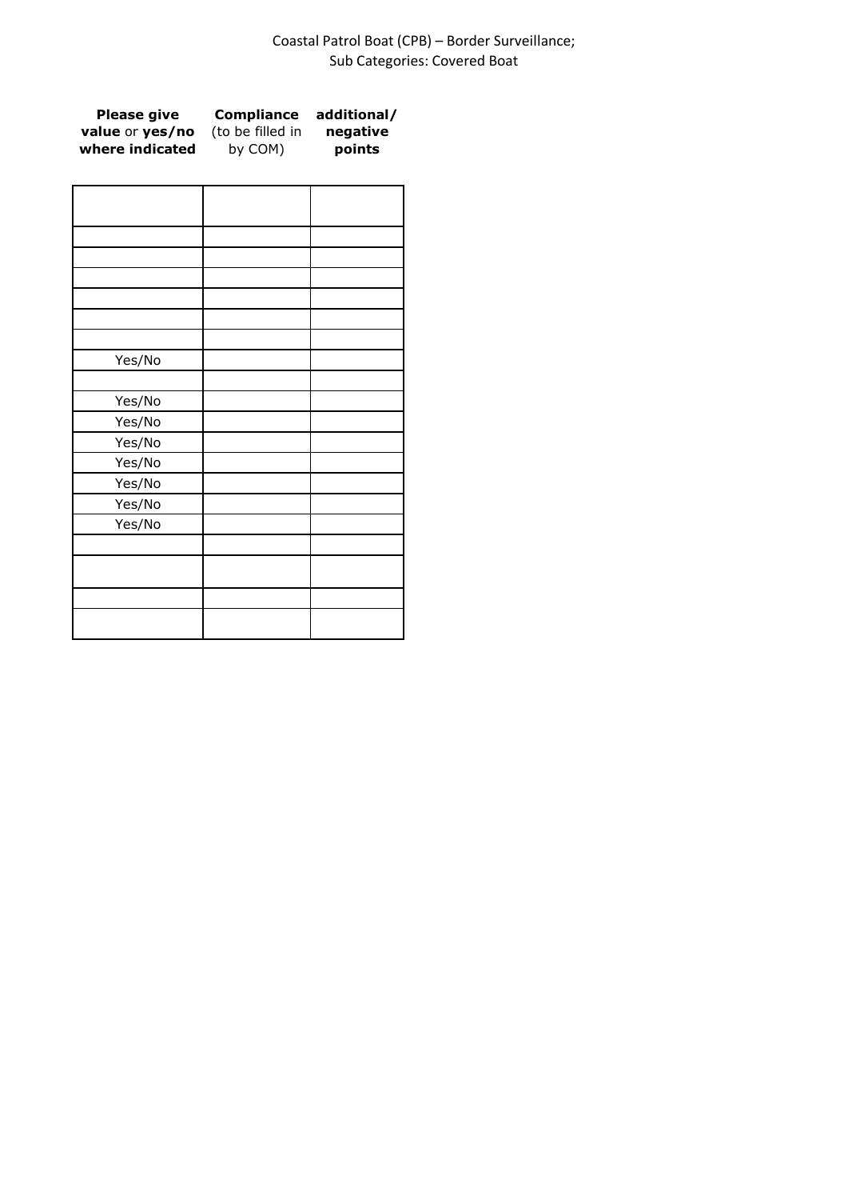# Coastal Patrol Boat (CPB) – Border Surveillance; Sub Categories: Covered Boat

| <b>Please give</b> | Compliance       | additional/ |
|--------------------|------------------|-------------|
| value or yes/no    | (to be filled in | negative    |
| where indicated    | by COM)          | points      |

| Yes/No |  |
|--------|--|
| Yes/No |  |
| Yes/No |  |
| Yes/No |  |
| Yes/No |  |
| Yes/No |  |
| Yes/No |  |
| Yes/No |  |
|        |  |
|        |  |
|        |  |
|        |  |
|        |  |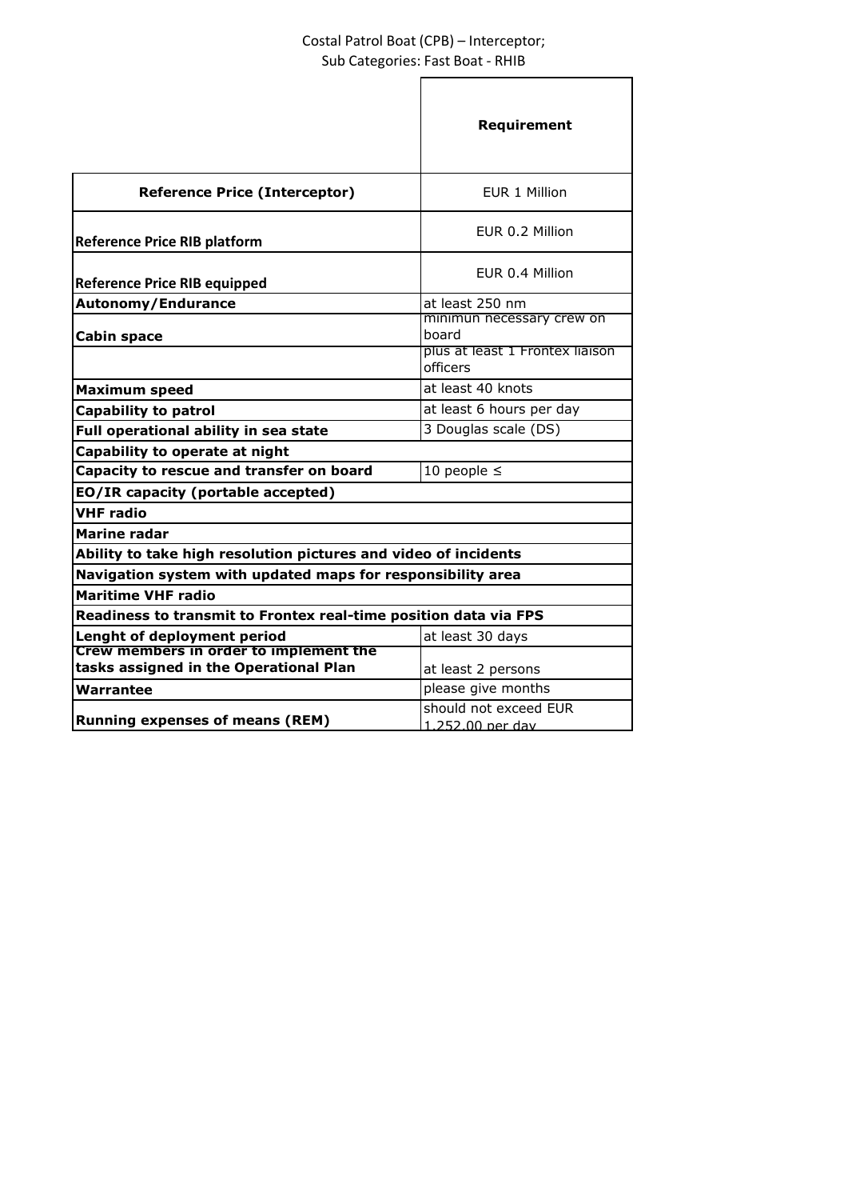# Costal Patrol Boat (CPB) – Interceptor; Sub Categories: Fast Boat - RHIB

|                                                                  | Requirement                                 |  |  |
|------------------------------------------------------------------|---------------------------------------------|--|--|
| <b>Reference Price (Interceptor)</b>                             | EUR 1 Million                               |  |  |
| <b>Reference Price RIB platform</b>                              | EUR 0.2 Million                             |  |  |
| <b>Reference Price RIB equipped</b>                              | FUR 0.4 Million                             |  |  |
| Autonomy/Endurance                                               | at least 250 nm                             |  |  |
| Cabin space                                                      | minimun necessary crew on<br>board          |  |  |
|                                                                  | plus at least 1 Frontex liaison<br>officers |  |  |
| <b>Maximum speed</b>                                             | at least 40 knots                           |  |  |
| <b>Capability to patrol</b>                                      | at least 6 hours per day                    |  |  |
| Full operational ability in sea state                            | 3 Douglas scale (DS)                        |  |  |
| Capability to operate at night                                   |                                             |  |  |
| Capacity to rescue and transfer on board                         | 10 people $\leq$                            |  |  |
| EO/IR capacity (portable accepted)                               |                                             |  |  |
| <b>VHF radio</b>                                                 |                                             |  |  |
| Marine radar                                                     |                                             |  |  |
| Ability to take high resolution pictures and video of incidents  |                                             |  |  |
| Navigation system with updated maps for responsibility area      |                                             |  |  |
| <b>Maritime VHF radio</b>                                        |                                             |  |  |
| Readiness to transmit to Frontex real-time position data via FPS |                                             |  |  |
| Lenght of deployment period                                      | at least 30 days                            |  |  |
| Crew members in order to implement the                           |                                             |  |  |
| tasks assigned in the Operational Plan                           | at least 2 persons                          |  |  |
| Warrantee                                                        | please give months                          |  |  |
| <b>Running expenses of means (REM)</b>                           | should not exceed EUR<br>1.252.00 per day   |  |  |
|                                                                  |                                             |  |  |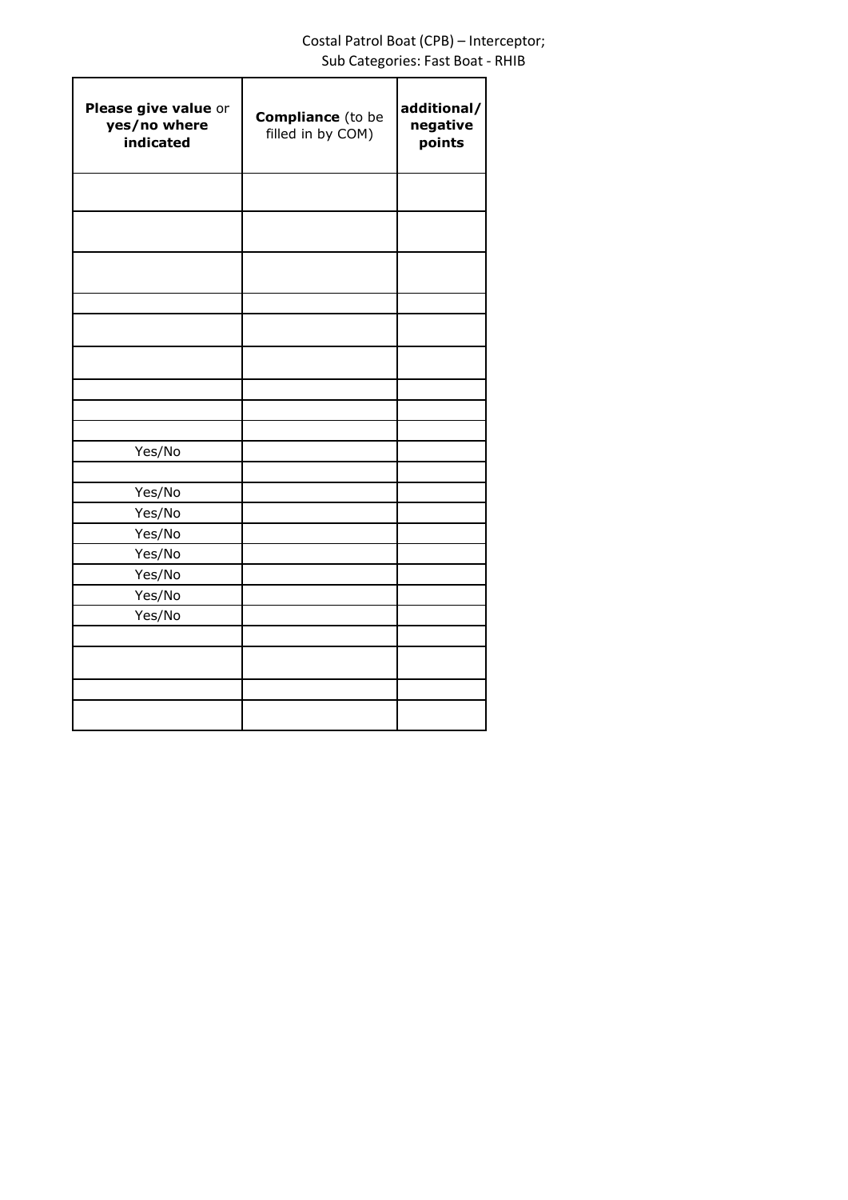# Costal Patrol Boat (CPB) – Interceptor; Sub Categories: Fast Boat - RHIB

| Please give value or<br>yes/no where<br>indicated | <b>Compliance</b> (to be<br>filled in by COM) | additional/<br>negative<br>points |
|---------------------------------------------------|-----------------------------------------------|-----------------------------------|
|                                                   |                                               |                                   |
|                                                   |                                               |                                   |
|                                                   |                                               |                                   |
|                                                   |                                               |                                   |
|                                                   |                                               |                                   |
|                                                   |                                               |                                   |
|                                                   |                                               |                                   |
| Yes/No                                            |                                               |                                   |
| Yes/No                                            |                                               |                                   |
| Yes/No                                            |                                               |                                   |
| Yes/No                                            |                                               |                                   |
| Yes/No                                            |                                               |                                   |
| Yes/No                                            |                                               |                                   |
| Yes/No                                            |                                               |                                   |
| Yes/No                                            |                                               |                                   |
|                                                   |                                               |                                   |
|                                                   |                                               |                                   |
|                                                   |                                               |                                   |
|                                                   |                                               |                                   |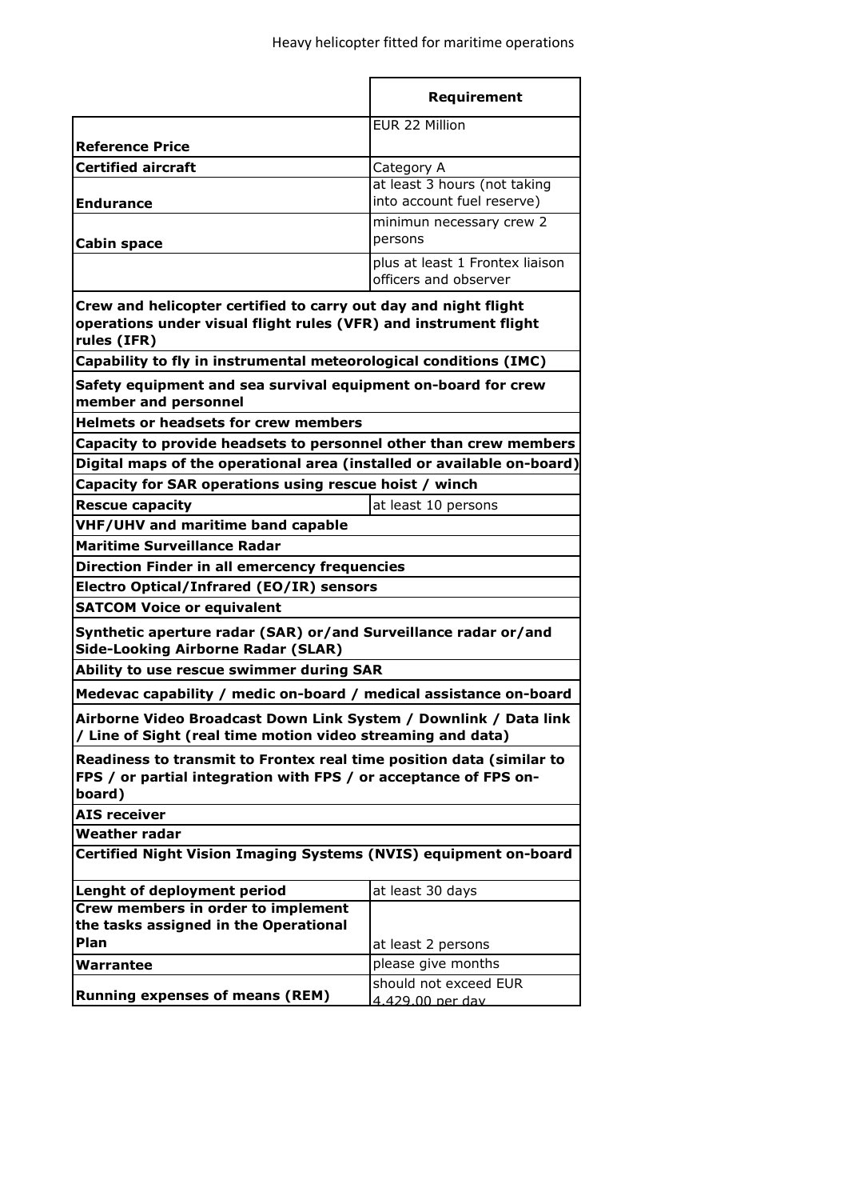|                                                                                                                                                    | Requirement                                              |  |  |
|----------------------------------------------------------------------------------------------------------------------------------------------------|----------------------------------------------------------|--|--|
|                                                                                                                                                    | EUR 22 Million                                           |  |  |
| <b>Reference Price</b>                                                                                                                             |                                                          |  |  |
| <b>Certified aircraft</b>                                                                                                                          | Category A                                               |  |  |
|                                                                                                                                                    | at least 3 hours (not taking                             |  |  |
| <b>Endurance</b>                                                                                                                                   | into account fuel reserve)                               |  |  |
|                                                                                                                                                    | minimun necessary crew 2                                 |  |  |
| Cabin space                                                                                                                                        | persons                                                  |  |  |
|                                                                                                                                                    | plus at least 1 Frontex liaison<br>officers and observer |  |  |
| Crew and helicopter certified to carry out day and night flight<br>operations under visual flight rules (VFR) and instrument flight<br>rules (IFR) |                                                          |  |  |
| Capability to fly in instrumental meteorological conditions (IMC)                                                                                  |                                                          |  |  |
| Safety equipment and sea survival equipment on-board for crew<br>member and personnel                                                              |                                                          |  |  |
| <b>Helmets or headsets for crew members</b>                                                                                                        |                                                          |  |  |
| Capacity to provide headsets to personnel other than crew members                                                                                  |                                                          |  |  |
| Digital maps of the operational area (installed or available on-board)                                                                             |                                                          |  |  |
| Capacity for SAR operations using rescue hoist / winch                                                                                             |                                                          |  |  |
| <b>Rescue capacity</b>                                                                                                                             | at least 10 persons                                      |  |  |
| VHF/UHV and maritime band capable                                                                                                                  |                                                          |  |  |
| <b>Maritime Surveillance Radar</b>                                                                                                                 |                                                          |  |  |
| <b>Direction Finder in all emercency frequencies</b>                                                                                               |                                                          |  |  |
| Electro Optical/Infrared (EO/IR) sensors                                                                                                           |                                                          |  |  |
| <b>SATCOM Voice or equivalent</b>                                                                                                                  |                                                          |  |  |
| Synthetic aperture radar (SAR) or/and Surveillance radar or/and<br><b>Side-Looking Airborne Radar (SLAR)</b>                                       |                                                          |  |  |
| Ability to use rescue swimmer during SAR                                                                                                           |                                                          |  |  |
| Medevac capability / medic on-board / medical assistance on-board                                                                                  |                                                          |  |  |
| Airborne Video Broadcast Down Link System / Downlink / Data link<br>/ Line of Sight (real time motion video streaming and data)                    |                                                          |  |  |
| Readiness to transmit to Frontex real time position data (similar to<br>FPS / or partial integration with FPS / or acceptance of FPS on-<br>board) |                                                          |  |  |
| <b>AIS receiver</b>                                                                                                                                |                                                          |  |  |
| <b>Weather radar</b>                                                                                                                               |                                                          |  |  |
| Certified Night Vision Imaging Systems (NVIS) equipment on-board                                                                                   |                                                          |  |  |
| Lenght of deployment period                                                                                                                        | at least 30 days                                         |  |  |
| Crew members in order to implement                                                                                                                 |                                                          |  |  |
| the tasks assigned in the Operational<br>Plan                                                                                                      |                                                          |  |  |
|                                                                                                                                                    | at least 2 persons                                       |  |  |
| Warrantee                                                                                                                                          | please give months<br>should not exceed EUR              |  |  |
| <b>Running expenses of means (REM)</b>                                                                                                             | 4.429.00 per day                                         |  |  |